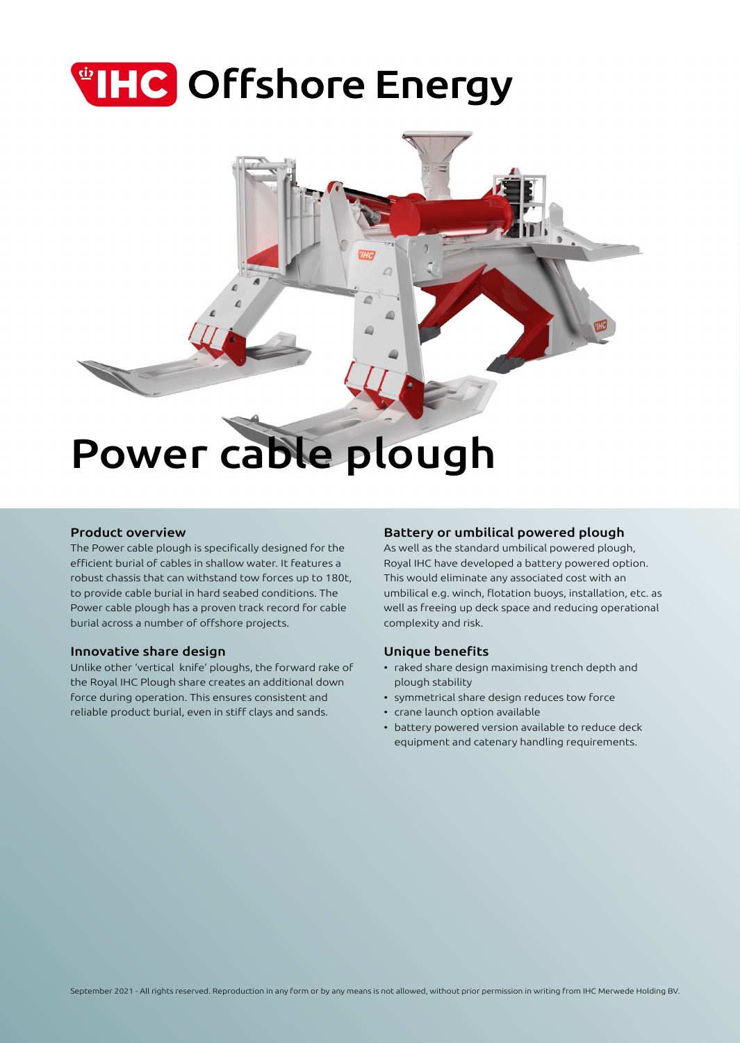# **THC** Offshore Energy



### Product overview

The Power cable plough is specifically designed for the efficient burial of cables in shallow water. It features a robust chassis that can withstand tow forces up to 180t, to provide cable burial in hard seabed conditions. The Power cable plough has a proven track record for cable burial across a number of offshore projects.

### Innovative share design

Unlike other 'vertical knife' ploughs, the forward rake of the Royal IHC Plough share creates an additional down force during operation. This ensures consistent and reliable product burial, even in stiff clays and sands.

## Battery or umbilical powered plough

As well as the standard umbilical powered plough, Royal IHC have developed a battery powered option. This would eliminate any associated cost with an umbilical e.g. winch, flotation buoys, installation, etc. as well as freeing up deck space and reducing operational complexity and risk.

### Unique benefits

- raked share design maximising trench depth and plough stability
- symmetrical share design reduces tow force
- crane launch option available
- battery powered version available to reduce deck equipment and catenary handling requirements.